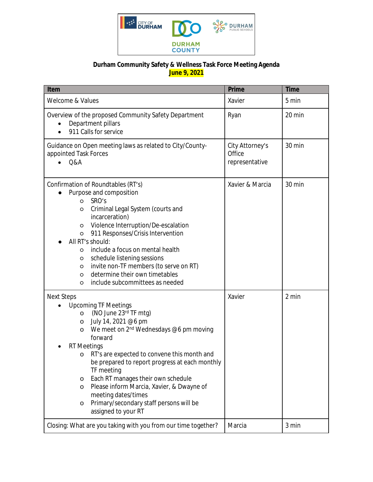

## **Durham Community Safety & Wellness Task Force Meeting Agenda June 9, 2021**

| Item                                                                                                                                                                                                                                                                                                                                                                                                                                                                                                                        | <b>Prime</b>                                | <b>Time</b> |
|-----------------------------------------------------------------------------------------------------------------------------------------------------------------------------------------------------------------------------------------------------------------------------------------------------------------------------------------------------------------------------------------------------------------------------------------------------------------------------------------------------------------------------|---------------------------------------------|-------------|
| Welcome & Values                                                                                                                                                                                                                                                                                                                                                                                                                                                                                                            | Xavier                                      | 5 min       |
| Overview of the proposed Community Safety Department<br>Department pillars<br>911 Calls for service                                                                                                                                                                                                                                                                                                                                                                                                                         | Ryan                                        | 20 min      |
| Guidance on Open meeting laws as related to City/County-<br>appointed Task Forces<br>Q&A                                                                                                                                                                                                                                                                                                                                                                                                                                    | City Attorney's<br>Office<br>representative | 30 min      |
| Confirmation of Roundtables (RT's)<br>Purpose and composition<br>SRO's<br>$\circ$<br>Criminal Legal System (courts and<br>O<br>incarceration)<br>Violence Interruption/De-escalation<br>O<br>911 Responses/Crisis Intervention<br>$\circ$<br>All RT's should:<br>include a focus on mental health<br>O<br>schedule listening sessions<br>O<br>invite non-TF members (to serve on RT)<br>O<br>determine their own timetables<br>$\circ$<br>include subcommittees as needed<br>O                                              | Xavier & Marcia                             | 30 min      |
| <b>Next Steps</b><br><b>Upcoming TF Meetings</b><br>(NO June 23rd TF mtg)<br>$\circ$<br>July 14, 2021 @6 pm<br>O<br>We meet on 2 <sup>nd</sup> Wednesdays @6 pm moving<br>O<br>forward<br><b>RT</b> Meetings<br>RT's are expected to convene this month and<br>O<br>be prepared to report progress at each monthly<br>TF meeting<br>Each RT manages their own schedule<br>O<br>Please inform Marcia, Xavier, & Dwayne of<br>O<br>meeting dates/times<br>Primary/secondary staff persons will be<br>O<br>assigned to your RT | Xavier                                      | 2 min       |
| Closing: What are you taking with you from our time together?                                                                                                                                                                                                                                                                                                                                                                                                                                                               | Marcia                                      | 3 min       |